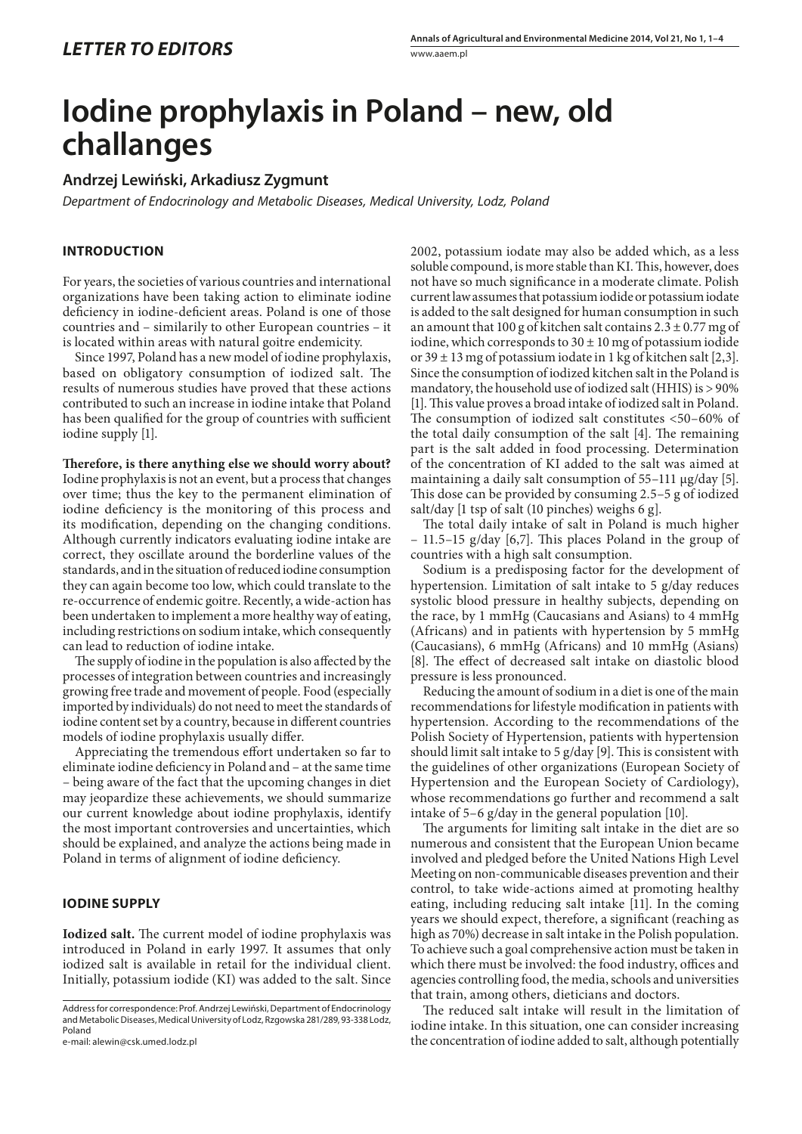# **Iodine prophylaxis in Poland – new, old challanges**

## **Andrzej Lewiński, Arkadiusz Zygmunt**

*Department of Endocrinology and Metabolic Diseases, Medical University, Lodz, Poland*

## **INTRODUCTION**

For years, the societies of various countries and international organizations have been taking action to eliminate iodine deficiency in iodine-deficient areas. Poland is one of those countries and – similarily to other European countries – it is located within areas with natural goitre endemicity.

Since 1997, Poland has a new model of iodine prophylaxis, based on obligatory consumption of iodized salt. The results of numerous studies have proved that these actions contributed to such an increase in iodine intake that Poland has been qualified for the group of countries with sufficient iodine supply [1].

**Therefore, is there anything else we should worry about?**  Iodine prophylaxis is not an event, but a process that changes over time; thus the key to the permanent elimination of iodine deficiency is the monitoring of this process and its modification, depending on the changing conditions. Although currently indicators evaluating iodine intake are correct, they oscillate around the borderline values of the standards, and in the situation of reduced iodine consumption they can again become too low, which could translate to the re-occurrence of endemic goitre. Recently, a wide-action has been undertaken to implement a more healthy way of eating, including restrictions on sodium intake, which consequently can lead to reduction of iodine intake.

The supply of iodine in the population is also affected by the processes of integration between countries and increasingly growing free trade and movement of people. Food (especially imported by individuals) do not need to meet the standards of iodine content set by a country, because in different countries models of iodine prophylaxis usually differ.

Appreciating the tremendous effort undertaken so far to eliminate iodine deficiency in Poland and – at the same time – being aware of the fact that the upcoming changes in diet may jeopardize these achievements, we should summarize our current knowledge about iodine prophylaxis, identify the most important controversies and uncertainties, which should be explained, and analyze the actions being made in Poland in terms of alignment of iodine deficiency.

### **IODINE SUPPLY**

**Iodized salt.** The current model of iodine prophylaxis was introduced in Poland in early 1997. It assumes that only iodized salt is available in retail for the individual client. Initially, potassium iodide (KI) was added to the salt. Since

e-mail: alewin@csk.umed.lodz.pl

2002, potassium iodate may also be added which, as a less soluble compound, is more stable than KI. This, however, does not have so much significance in a moderate climate. Polish current law assumes that potassium iodide or potassium iodate is added to the salt designed for human consumption in such an amount that 100 g of kitchen salt contains  $2.3 \pm 0.77$  mg of iodine, which corresponds to  $30 \pm 10$  mg of potassium iodide or  $39 \pm 13$  mg of potassium iodate in 1 kg of kitchen salt [2,3]. Since the consumption of iodized kitchen salt in the Poland is mandatory, the household use of iodized salt (HHIS) is > 90% [1]. This value proves a broad intake of iodized salt in Poland. The consumption of iodized salt constitutes <50–60% of the total daily consumption of the salt [4]. The remaining part is the salt added in food processing. Determination of the concentration of KI added to the salt was aimed at maintaining a daily salt consumption of 55–111 µg/day [5]. This dose can be provided by consuming 2.5–5 g of iodized salt/day [1 tsp of salt (10 pinches) weighs 6 g].

The total daily intake of salt in Poland is much higher – 11.5–15 g/day [6,7]. This places Poland in the group of countries with a high salt consumption.

Sodium is a predisposing factor for the development of hypertension. Limitation of salt intake to 5 g/day reduces systolic blood pressure in healthy subjects, depending on the race, by 1 mmHg (Caucasians and Asians) to 4 mmHg (Africans) and in patients with hypertension by 5 mmHg (Caucasians), 6 mmHg (Africans) and 10 mmHg (Asians) [8]. The effect of decreased salt intake on diastolic blood pressure is less pronounced.

Reducing the amount of sodium in a diet is one of the main recommendations for lifestyle modification in patients with hypertension. According to the recommendations of the Polish Society of Hypertension, patients with hypertension should limit salt intake to 5 g/day [9]. This is consistent with the guidelines of other organizations (European Society of Hypertension and the European Society of Cardiology), whose recommendations go further and recommend a salt intake of 5–6 g/day in the general population [10].

The arguments for limiting salt intake in the diet are so numerous and consistent that the European Union became involved and pledged before the United Nations High Level Meeting on non-communicable diseases prevention and their control, to take wide-actions aimed at promoting healthy eating, including reducing salt intake [11]. In the coming years we should expect, therefore, a significant (reaching as high as 70%) decrease in salt intake in the Polish population. To achieve such a goal comprehensive action must be taken in which there must be involved: the food industry, offices and agencies controlling food, the media, schools and universities that train, among others, dieticians and doctors.

The reduced salt intake will result in the limitation of iodine intake. In this situation, one can consider increasing the concentration of iodine added to salt, although potentially

Address for correspondence: Prof. Andrzej Lewiński, Department of Endocrinology and Metabolic Diseases, Medical University of Lodz, Rzgowska 281/289, 93-338 Lodz, Poland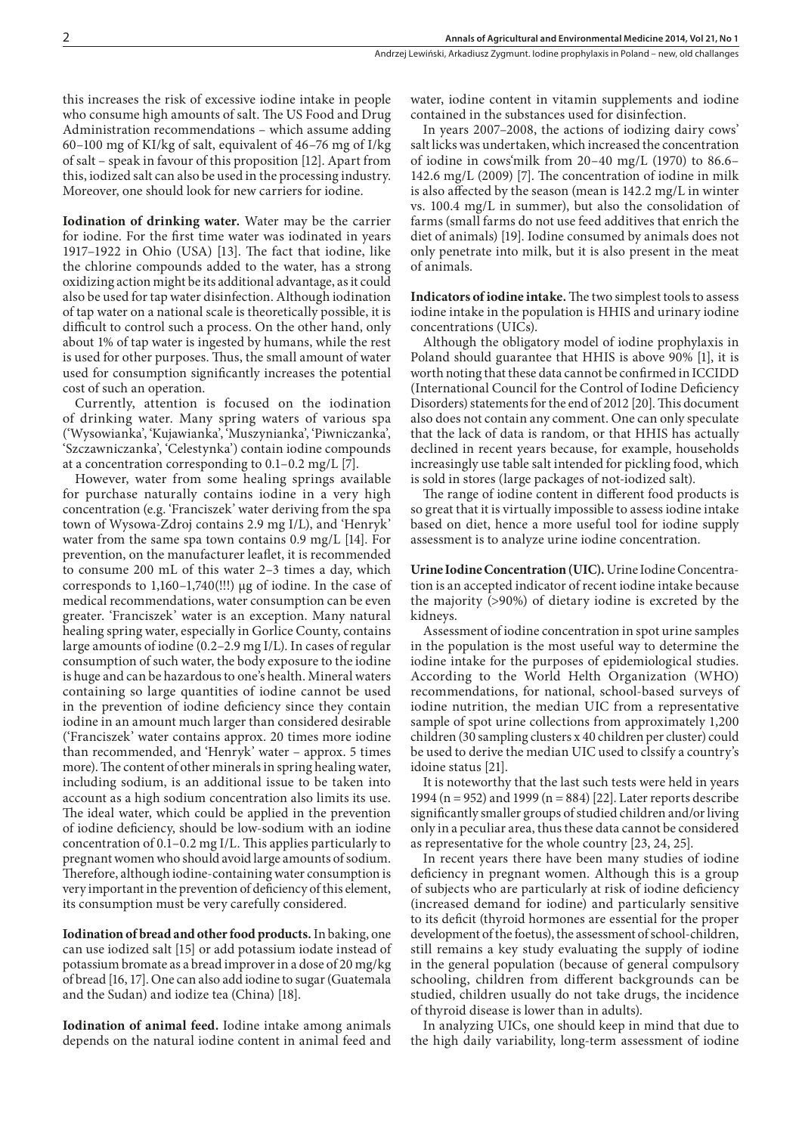this increases the risk of excessive iodine intake in people who consume high amounts of salt. The US Food and Drug Administration recommendations – which assume adding 60–100 mg of KI/kg of salt, equivalent of 46–76 mg of I/kg of salt – speak in favour of this proposition [12]. Apart from this, iodized salt can also be used in the processing industry. Moreover, one should look for new carriers for iodine.

**Iodination of drinking water.** Water may be the carrier for iodine. For the first time water was iodinated in years 1917–1922 in Ohio (USA) [13]. The fact that iodine, like the chlorine compounds added to the water, has a strong oxidizing action might be its additional advantage, as it could also be used for tap water disinfection. Although iodination of tap water on a national scale is theoretically possible, it is difficult to control such a process. On the other hand, only about 1% of tap water is ingested by humans, while the rest is used for other purposes. Thus, the small amount of water used for consumption significantly increases the potential cost of such an operation.

Currently, attention is focused on the iodination of drinking water. Many spring waters of various spa ('Wysowianka', 'Kujawianka', 'Muszynianka', 'Piwniczanka', 'Szczawniczanka', 'Celestynka') contain iodine compounds at a concentration corresponding to 0.1–0.2 mg/L [7].

However, water from some healing springs available for purchase naturally contains iodine in a very high concentration (e.g. 'Franciszek' water deriving from the spa town of Wysowa-Zdroj contains 2.9 mg I/L), and 'Henryk' water from the same spa town contains 0.9 mg/L [14]. For prevention, on the manufacturer leaflet, it is recommended to consume 200 mL of this water 2–3 times a day, which corresponds to  $1,160-1,740$ (!!!) µg of iodine. In the case of medical recommendations, water consumption can be even greater. 'Franciszek' water is an exception. Many natural healing spring water, especially in Gorlice County, contains large amounts of iodine (0.2–2.9 mg I/L). In cases of regular consumption of such water, the body exposure to the iodine is huge and can be hazardous to one's health. Mineral waters containing so large quantities of iodine cannot be used in the prevention of iodine deficiency since they contain iodine in an amount much larger than considered desirable ('Franciszek' water contains approx. 20 times more iodine than recommended, and 'Henryk' water – approx. 5 times more). The content of other minerals in spring healing water, including sodium, is an additional issue to be taken into account as a high sodium concentration also limits its use. The ideal water, which could be applied in the prevention of iodine deficiency, should be low-sodium with an iodine concentration of 0.1–0.2 mg I/L. This applies particularly to pregnant women who should avoid large amounts of sodium. Therefore, although iodine-containing water consumption is very important in the prevention of deficiency of this element, its consumption must be very carefully considered.

**Iodination of bread and other food products.**In baking, one can use iodized salt [15] or add potassium iodate instead of potassium bromate as a bread improver in a dose of 20 mg/kg of bread [16, 17]. One can also add iodine to sugar (Guatemala and the Sudan) and iodize tea (China) [18].

**Iodination of animal feed.** Iodine intake among animals depends on the natural iodine content in animal feed and water, iodine content in vitamin supplements and iodine contained in the substances used for disinfection.

In years 2007–2008, the actions of iodizing dairy cows' salt licks was undertaken, which increased the concentration of iodine in cows'milk from 20–40 mg/L (1970) to 86.6– 142.6 mg/L (2009) [7]. The concentration of iodine in milk is also affected by the season (mean is 142.2 mg/L in winter vs. 100.4 mg/L in summer), but also the consolidation of farms (small farms do not use feed additives that enrich the diet of animals) [19]. Iodine consumed by animals does not only penetrate into milk, but it is also present in the meat of animals.

**Indicators of iodine intake.** The two simplest tools to assess iodine intake in the population is HHIS and urinary iodine concentrations (UICs).

Although the obligatory model of iodine prophylaxis in Poland should guarantee that HHIS is above 90% [1], it is worth noting that these data cannot be confirmed in ICCIDD (International Council for the Control of Iodine Deficiency Disorders) statements for the end of 2012 [20]. This document also does not contain any comment. One can only speculate that the lack of data is random, or that HHIS has actually declined in recent years because, for example, households increasingly use table salt intended for pickling food, which is sold in stores (large packages of not-iodized salt).

The range of iodine content in different food products is so great that it is virtually impossible to assess iodine intake based on diet, hence a more useful tool for iodine supply assessment is to analyze urine iodine concentration.

**Urine Iodine Concentration (UIC).** Urine Iodine Concentration is an accepted indicator of recent iodine intake because the majority (>90%) of dietary iodine is excreted by the kidneys.

Assessment of iodine concentration in spot urine samples in the population is the most useful way to determine the iodine intake for the purposes of epidemiological studies. According to the World Helth Organization (WHO) recommendations, for national, school-based surveys of iodine nutrition, the median UIC from a representative sample of spot urine collections from approximately 1,200 children (30 sampling clusters x 40 children per cluster) could be used to derive the median UIC used to clssify a country's idoine status [21].

It is noteworthy that the last such tests were held in years 1994 (n = 952) and 1999 (n = 884) [22]. Later reports describe significantly smaller groups of studied children and/or living only in a peculiar area, thus these data cannot be considered as representative for the whole country [23, 24, 25].

In recent years there have been many studies of iodine deficiency in pregnant women. Although this is a group of subjects who are particularly at risk of iodine deficiency (increased demand for iodine) and particularly sensitive to its deficit (thyroid hormones are essential for the proper development of the foetus), the assessment of school-children, still remains a key study evaluating the supply of iodine in the general population (because of general compulsory schooling, children from different backgrounds can be studied, children usually do not take drugs, the incidence of thyroid disease is lower than in adults).

In analyzing UICs, one should keep in mind that due to the high daily variability, long-term assessment of iodine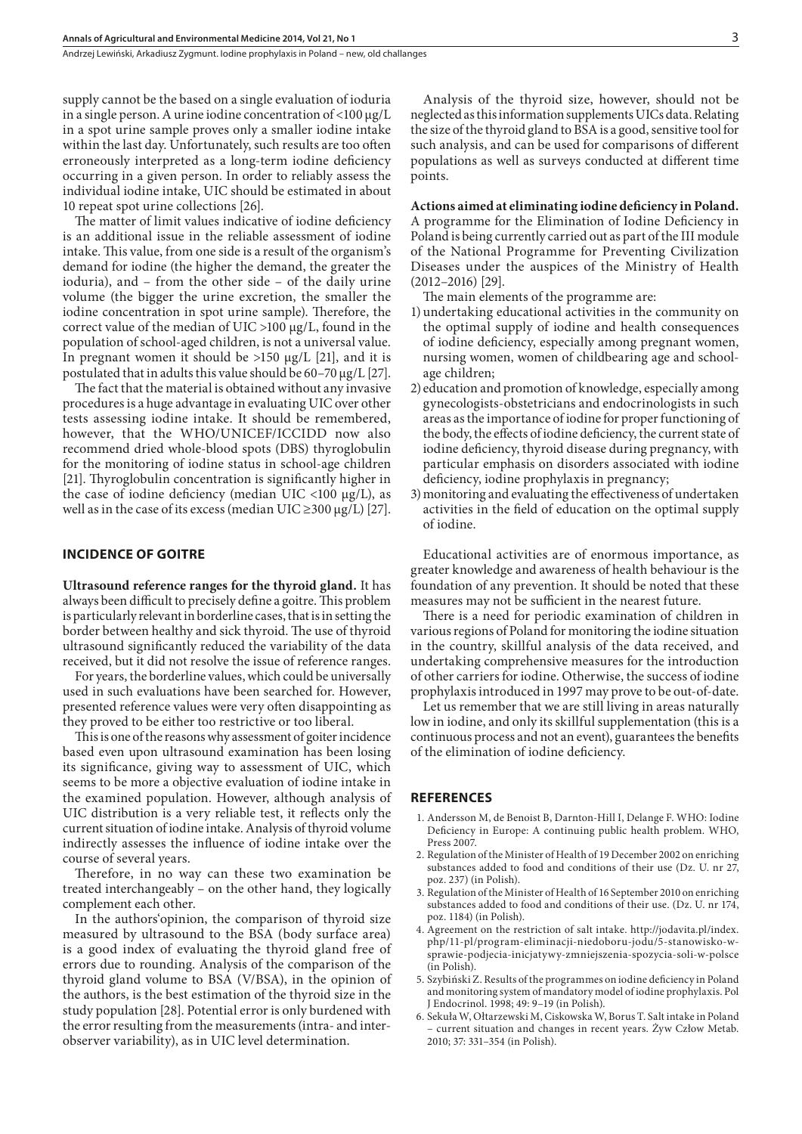Andrzej Lewiński, Arkadiusz Zygmunt . Iodine prophylaxis in Poland – new, old challanges

supply cannot be the based on a single evaluation of ioduria in a single person. A urine iodine concentration of  $\langle 100 \mu g/L \rangle$ in a spot urine sample proves only a smaller iodine intake within the last day. Unfortunately, such results are too often erroneously interpreted as a long-term iodine deficiency occurring in a given person. In order to reliably assess the individual iodine intake, UIC should be estimated in about 10 repeat spot urine collections [26].

The matter of limit values indicative of iodine deficiency is an additional issue in the reliable assessment of iodine intake. This value, from one side is a result of the organism's demand for iodine (the higher the demand, the greater the ioduria), and – from the other side – of the daily urine volume (the bigger the urine excretion, the smaller the iodine concentration in spot urine sample). Therefore, the correct value of the median of UIC  $>100 \mu g/L$ , found in the population of school-aged children, is not a universal value. In pregnant women it should be  $>150 \mu g/L$  [21], and it is postulated that in adults this value should be 60–70 µg/L [27].

The fact that the material is obtained without any invasive procedures is a huge advantage in evaluating UIC over other tests assessing iodine intake. It should be remembered, however, that the WHO/UNICEF/ICCIDD now also recommend dried whole-blood spots (DBS) thyroglobulin for the monitoring of iodine status in school-age children [21]. Thyroglobulin concentration is significantly higher in the case of iodine deficiency (median UIC <100  $\mu$ g/L), as well as in the case of its excess (median UIC  $\geq$ 300 µg/L) [27].

#### **INCIDENCE OF GOITRE**

**Ultrasound reference ranges for the thyroid gland.** It has always been difficult to precisely define a goitre. This problem is particularly relevant in borderline cases, that is in setting the border between healthy and sick thyroid. The use of thyroid ultrasound significantly reduced the variability of the data received, but it did not resolve the issue of reference ranges.

For years, the borderline values, which could be universally used in such evaluations have been searched for. However, presented reference values were very often disappointing as they proved to be either too restrictive or too liberal.

This is one of the reasons why assessment of goiter incidence based even upon ultrasound examination has been losing its significance, giving way to assessment of UIC, which seems to be more a objective evaluation of iodine intake in the examined population. However, although analysis of UIC distribution is a very reliable test, it reflects only the current situation of iodine intake. Analysis of thyroid volume indirectly assesses the influence of iodine intake over the course of several years.

Therefore, in no way can these two examination be treated interchangeably – on the other hand, they logically complement each other.

In the authors'opinion, the comparison of thyroid size measured by ultrasound to the BSA (body surface area) is a good index of evaluating the thyroid gland free of errors due to rounding. Analysis of the comparison of the thyroid gland volume to BSA (V/BSA), in the opinion of the authors, is the best estimation of the thyroid size in the study population [28]. Potential error is only burdened with the error resulting from the measurements (intra- and interobserver variability), as in UIC level determination.

Analysis of the thyroid size, however, should not be neglected as this information supplements UICs data. Relating the size of the thyroid gland to BSA is a good, sensitive tool for such analysis, and can be used for comparisons of different populations as well as surveys conducted at different time points.

**Actions aimed at eliminating iodine deficiency in Poland.**  A programme for the Elimination of Iodine Deficiency in Poland is being currently carried out as part of the III module of the National Programme for Preventing Civilization Diseases under the auspices of the Ministry of Health (2012–2016) [29].

The main elements of the programme are:

- 1) undertaking educational activities in the community on the optimal supply of iodine and health consequences of iodine deficiency, especially among pregnant women, nursing women, women of childbearing age and schoolage children;
- 2) education and promotion of knowledge, especially among gynecologists-obstetricians and endocrinologists in such areas as the importance of iodine for proper functioning of the body, the effects of iodine deficiency, the current state of iodine deficiency, thyroid disease during pregnancy, with particular emphasis on disorders associated with iodine deficiency, iodine prophylaxis in pregnancy;
- 3)monitoring and evaluating the effectiveness of undertaken activities in the field of education on the optimal supply of iodine.

Educational activities are of enormous importance, as greater knowledge and awareness of health behaviour is the foundation of any prevention. It should be noted that these measures may not be sufficient in the nearest future.

There is a need for periodic examination of children in various regions of Poland for monitoring the iodine situation in the country, skillful analysis of the data received, and undertaking comprehensive measures for the introduction of other carriers for iodine. Otherwise, the success of iodine prophylaxis introduced in 1997 may prove to be out-of-date.

Let us remember that we are still living in areas naturally low in iodine, and only its skillful supplementation (this is a continuous process and not an event), guarantees the benefits of the elimination of iodine deficiency.

#### **REFERENCES**

- 1. Andersson M, de Benoist B, Darnton-Hill I, Delange F. WHO: Iodine Deficiency in Europe: A continuing public health problem. WHO, Press 2007.
- 2. Regulation of the Minister of Health of 19 December 2002 on enriching substances added to food and conditions of their use (Dz. U. nr 27, poz. 237) (in Polish).
- 3. Regulation of the Minister of Health of 16 September 2010 on enriching substances added to food and conditions of their use. (Dz. U. nr 174, poz. 1184) (in Polish).
- 4. Agreement on the restriction of salt intake. http://jodavita.pl/index. php/11-pl/program-eliminacji-niedoboru-jodu/5-stanowisko-wsprawie-podjecia-inicjatywy-zmniejszenia-spozycia-soli-w-polsce (in Polish).
- 5. Szybiński Z. Results of the programmes on iodine deficiency in Poland and monitoring system of mandatory model of iodine prophylaxis. Pol J Endocrinol. 1998; 49: 9–19 (in Polish).
- 6. Sekuła W, Ołtarzewski M, Ciskowska W, Borus T. Salt intake in Poland – current situation and changes in recent years. Żyw Człow Metab. 2010; 37: 331–354 (in Polish).